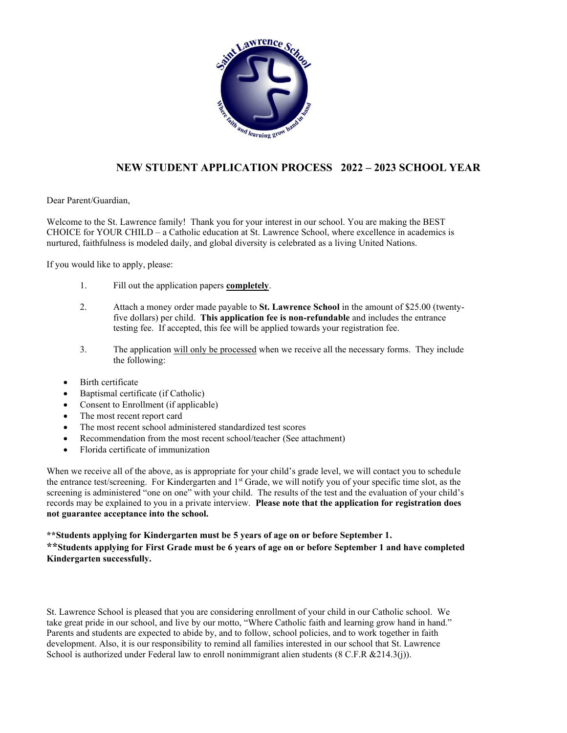

## **NEW STUDENT APPLICATION PROCESS 2022 – 2023 SCHOOL YEAR**

Dear Parent/Guardian,

Welcome to the St. Lawrence family! Thank you for your interest in our school. You are making the BEST CHOICE for YOUR CHILD – a Catholic education at St. Lawrence School, where excellence in academics is nurtured, faithfulness is modeled daily, and global diversity is celebrated as a living United Nations.

If you would like to apply, please:

- 1. Fill out the application papers **completely**.
- 2. Attach a money order made payable to **St. Lawrence School** in the amount of \$25.00 (twentyfive dollars) per child. **This application fee is non-refundable** and includes the entrance testing fee. If accepted, this fee will be applied towards your registration fee.
- 3. The application will only be processed when we receive all the necessary forms. They include the following:
- Birth certificate
- Baptismal certificate (if Catholic)
- Consent to Enrollment (if applicable)
- The most recent report card
- The most recent school administered standardized test scores
- Recommendation from the most recent school/teacher (See attachment)
- Florida certificate of immunization

When we receive all of the above, as is appropriate for your child's grade level, we will contact you to schedule the entrance test/screening. For Kindergarten and 1st Grade, we will notify you of your specific time slot, as the screening is administered "one on one" with your child. The results of the test and the evaluation of your child's records may be explained to you in a private interview. **Please note that the application for registration does not guarantee acceptance into the school.**

### **\*\*Students applying for Kindergarten must be 5 years of age on or before September 1.**

**\*\*Students applying for First Grade must be 6 years of age on or before September 1 and have completed Kindergarten successfully.**

St. Lawrence School is pleased that you are considering enrollment of your child in our Catholic school. We take great pride in our school, and live by our motto, "Where Catholic faith and learning grow hand in hand." Parents and students are expected to abide by, and to follow, school policies, and to work together in faith development. Also, it is our responsibility to remind all families interested in our school that St. Lawrence School is authorized under Federal law to enroll nonimmigrant alien students (8 C.F.R & 214.3(j)).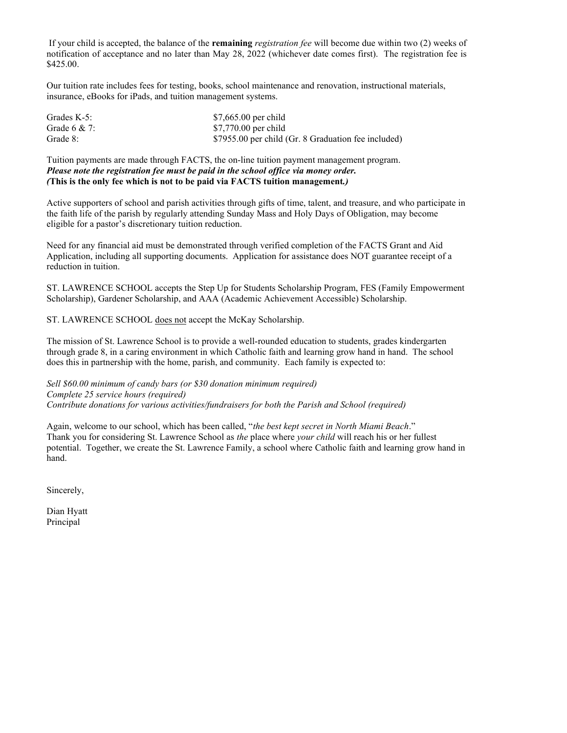If your child is accepted, the balance of the **remaining** *registration fee* will become due within two (2) weeks of notification of acceptance and no later than May 28, 2022 (whichever date comes first). The registration fee is \$425.00.

Our tuition rate includes fees for testing, books, school maintenance and renovation, instructional materials, insurance, eBooks for iPads, and tuition management systems.

| Grades K-5:     | \$7,665.00 per child                                |
|-----------------|-----------------------------------------------------|
| Grade $6 & 7$ : | \$7,770.00 per child                                |
| Grade 8:        | \$7955.00 per child (Gr. 8 Graduation fee included) |

Tuition payments are made through FACTS, the on-line tuition payment management program. *Please note the registration fee must be paid in the school office via money order. (***This is the only fee which is not to be paid via FACTS tuition management***.)*

Active supporters of school and parish activities through gifts of time, talent, and treasure, and who participate in the faith life of the parish by regularly attending Sunday Mass and Holy Days of Obligation, may become eligible for a pastor's discretionary tuition reduction.

Need for any financial aid must be demonstrated through verified completion of the FACTS Grant and Aid Application, including all supporting documents. Application for assistance does NOT guarantee receipt of a reduction in tuition.

ST. LAWRENCE SCHOOL accepts the Step Up for Students Scholarship Program, FES (Family Empowerment Scholarship), Gardener Scholarship, and AAA (Academic Achievement Accessible) Scholarship.

ST. LAWRENCE SCHOOL does not accept the McKay Scholarship.

The mission of St. Lawrence School is to provide a well-rounded education to students, grades kindergarten through grade 8, in a caring environment in which Catholic faith and learning grow hand in hand. The school does this in partnership with the home, parish, and community. Each family is expected to:

*Sell \$60.00 minimum of candy bars (or \$30 donation minimum required) Complete 25 service hours (required) Contribute donations for various activities/fundraisers for both the Parish and School (required)*

Again, welcome to our school, which has been called, "*the best kept secret in North Miami Beach*." Thank you for considering St. Lawrence School as *the* place where *your child* will reach his or her fullest potential. Together, we create the St. Lawrence Family, a school where Catholic faith and learning grow hand in hand.

Sincerely,

Dian Hyatt Principal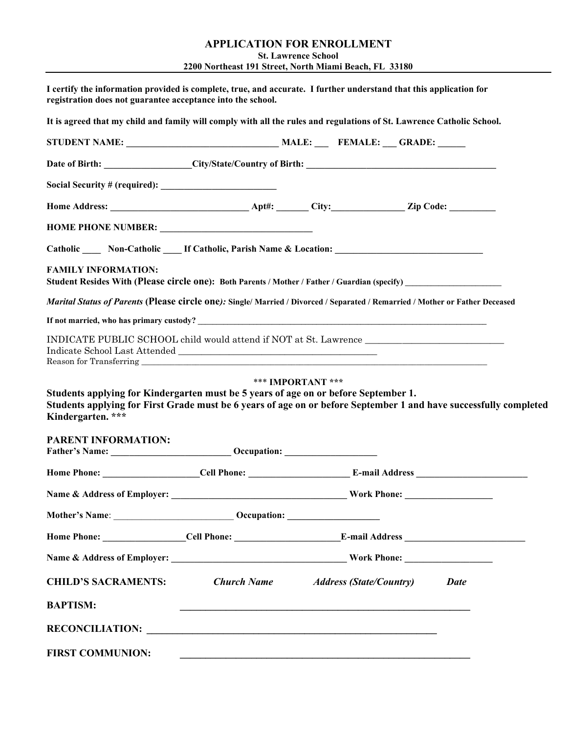### **APPLICATION FOR ENROLLMENT St. Lawrence School 2200 Northeast 191 Street, North Miami Beach, FL 33180**

| It is agreed that my child and family will comply with all the rules and regulations of St. Lawrence Catholic School.                                                                                    |  |  |  |
|----------------------------------------------------------------------------------------------------------------------------------------------------------------------------------------------------------|--|--|--|
|                                                                                                                                                                                                          |  |  |  |
|                                                                                                                                                                                                          |  |  |  |
|                                                                                                                                                                                                          |  |  |  |
|                                                                                                                                                                                                          |  |  |  |
| HOME PHONE NUMBER: ______________________________                                                                                                                                                        |  |  |  |
| Catholic _____ Non-Catholic _____ If Catholic, Parish Name & Location: _____________________________                                                                                                     |  |  |  |
| <b>FAMILY INFORMATION:</b><br>Student Resides With (Please circle one): Both Parents / Mother / Father / Guardian (specify) ________________                                                             |  |  |  |
| Marital Status of Parents (Please circle one): Single/ Married / Divorced / Separated / Remarried / Mother or Father Deceased                                                                            |  |  |  |
|                                                                                                                                                                                                          |  |  |  |
| INDICATE PUBLIC SCHOOL child would attend if NOT at St. Lawrence ________________                                                                                                                        |  |  |  |
| Students applying for Kindergarten must be 5 years of age on or before September 1.<br>Students applying for First Grade must be 6 years of age on or before September 1 and have successfully completed |  |  |  |
| Kindergarten. ***                                                                                                                                                                                        |  |  |  |
| <b>PARENT INFORMATION:</b><br>Father's Name: Communication Communication Communication Communication Communication Communication Communication                                                           |  |  |  |
|                                                                                                                                                                                                          |  |  |  |
|                                                                                                                                                                                                          |  |  |  |
|                                                                                                                                                                                                          |  |  |  |
|                                                                                                                                                                                                          |  |  |  |
|                                                                                                                                                                                                          |  |  |  |
| <b>CHILD'S SACRAMENTS:</b> Church Name Address (State/Country) Date                                                                                                                                      |  |  |  |
| <b>BAPTISM:</b>                                                                                                                                                                                          |  |  |  |
|                                                                                                                                                                                                          |  |  |  |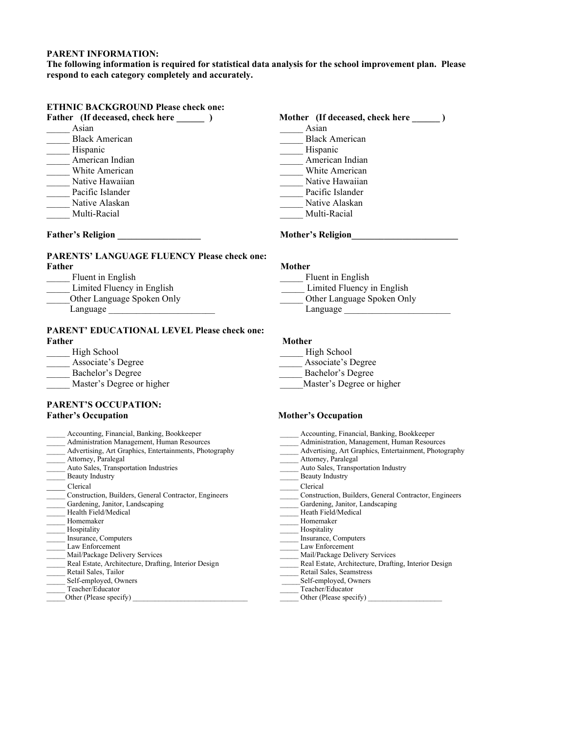#### **PARENT INFORMATION:**

**The following information is required for statistical data analysis for the school improvement plan. Please respond to each category completely and accurately.**

### **ETHNIC BACKGROUND Please check one:**

- Asian Asian Asian Asian Asian Asian Asian Asian Asian Asian Asian Asian Asian Asian Asian Asian Asian Asian Asian Asian Asian Asian Asian Asian Asian Asian Asian Asian Asian Asian Asian Asian Asian Asian Asian Asian Asian Black American **Black American** Letter and the Hispanic<br>
American Indian<br>
White American<br>
White American<br>
Contact American<br>
Contact American<br>
Contact American<br>
Contact American<br>
Contact American<br>
Contact American<br>
Contact American<br>
Contact American<br>
Cont
- 
- 
- 
- 
- \_\_\_\_\_ Multi-Racial \_\_\_\_\_ Multi-Racial

### **PARENTS' LANGUAGE FLUENCY Please check one: Father Mother** Mother

| Fluent in English          | Fluent in English      |
|----------------------------|------------------------|
| Limited Fluency in English | Limited Fluency in Eng |
| Other Language Spoken Only | Other Language Spoker  |
| Language                   | Language               |

### **PARENT' EDUCATIONAL LEVEL Please check one: Father Mother**

| High School              |
|--------------------------|
| Associate's Degree       |
| Bachelor's Degree        |
| Master's Degree or highe |

#### **PARENT'S OCCUPATION: Father's Occupation Mother's Occupation**

| Accounting, Financial, Banking, Bookkeeper            |
|-------------------------------------------------------|
| Administration, Management, Human Resources           |
| Advertising, Art Graphics, Entertainment, Photography |
| Attorney, Paralegal                                   |
| Auto Sales, Transportation Industry                   |
| <b>Beauty Industry</b>                                |
| Clerical                                              |
| Construction, Builders, General Contractor, Engineers |
| Gardening, Janitor, Landscaping                       |
| Heath Field/Medical                                   |
| Homemaker                                             |
| Hospitality                                           |
| Insurance, Computers                                  |
| Law Enforcement                                       |
| Mail/Package Delivery Services                        |
| Real Estate, Architecture, Drafting, Interior Design  |
| Retail Sales, Seamstress                              |
| Self-employed, Owners                                 |
| Teacher/Educator                                      |
| Other (Please specify)                                |
|                                                       |

# Father (If deceased, check here  $\qquad$  ) Mother (If deceased, check here  $\qquad$  )  $\frac{1}{\sqrt{1-\frac{1}{2}}}$  American Indian — White American Native Hawaiian Native Hawaiian Native Hawaiian \_\_\_\_\_ Native Hawaiian \_\_\_\_\_ Native Hawaiian Pacific Islander \_\_\_\_\_ Native Alaskan \_\_\_\_\_ Native Alaskan

### **Father's Religion the contract of the contract of the Mother's Religion**

\_\_\_\_\_ Fluent in English \_\_\_\_\_ Fluent in English

- \_\_\_\_\_ Limited Fluency in English \_\_\_\_\_ Limited Fluency in English
- \_\_\_\_\_Other Language Spoken Only \_\_\_\_\_ Other Language Spoken Only
	-

\_\_\_\_\_ High School \_\_\_\_\_ High School

- \_\_\_\_\_ Associate's Degree \_\_\_\_\_ Associate's Degree
- \_\_\_\_\_ Bachelor's Degree \_\_\_\_\_ Bachelor's Degree
- egree or higher Master's Degree or higher

- 
-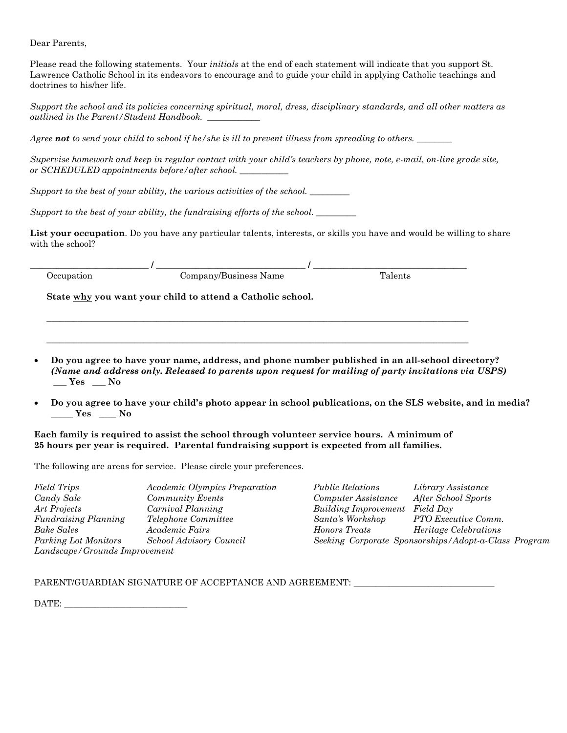Dear Parents,

Please read the following statements. Your *initials* at the end of each statement will indicate that you support St. Lawrence Catholic School in its endeavors to encourage and to guide your child in applying Catholic teachings and doctrines to his/her life.

*Support the school and its policies concerning spiritual, moral, dress, disciplinary standards, and all other matters as outlined in the Parent/Student Handbook.* 

*Agree not to send your child to school if he/she is ill to prevent illness from spreading to others. \_\_\_\_\_\_\_\_*

*Supervise homework and keep in regular contact with your child's teachers by phone, note, e-mail, on-line grade site, or SCHEDULED appointments before/after school. \_\_\_\_\_\_\_\_\_\_\_*

*Support to the best of your ability, the various activities of the school. \_\_\_\_\_\_\_\_\_*

*Support to the best of your ability, the fundraising efforts of the school.* 

**List your occupation**. Do you have any particular talents, interests, or skills you have and would be willing to share with the school?

| Jeeuna | . :omnany/Business<br>Name | . |
|--------|----------------------------|---|

**\_\_\_\_\_\_\_\_\_\_\_\_\_\_\_\_\_\_\_\_\_\_\_\_\_\_\_\_\_\_\_\_\_\_\_\_\_\_\_\_\_\_\_\_\_\_\_\_\_\_\_\_\_\_\_\_\_\_\_\_\_\_\_\_\_\_\_\_\_\_\_\_\_\_\_\_\_\_\_\_\_\_\_\_\_\_\_\_\_\_\_\_\_\_\_\_**

 $\_$  ,  $\_$  ,  $\_$  ,  $\_$  ,  $\_$  ,  $\_$  ,  $\_$  ,  $\_$  ,  $\_$  ,  $\_$  ,  $\_$  ,  $\_$  ,  $\_$  ,  $\_$  ,  $\_$  ,  $\_$  ,  $\_$  ,  $\_$  ,  $\_$  ,  $\_$  ,  $\_$  ,  $\_$  ,  $\_$  ,  $\_$  ,  $\_$  ,  $\_$  ,  $\_$  ,  $\_$  ,  $\_$  ,  $\_$  ,  $\_$  ,  $\_$  ,  $\_$  ,  $\_$  ,  $\_$  ,  $\_$  ,  $\_$  ,

**State why you want your child to attend a Catholic school.**

- **Do you agree to have your name, address, and phone number published in an all-school directory?**  *(Name and address only. Released to parents upon request for mailing of party invitations via USPS)* **\_\_\_ Yes \_\_\_ No**
- **Do you agree to have your child's photo appear in school publications, on the SLS website, and in media? \_\_\_\_\_ Yes \_\_\_\_ No**

**Each family is required to assist the school through volunteer service hours. A minimum of 25 hours per year is required. Parental fundraising support is expected from all families.** 

The following are areas for service. Please circle your preferences.

| Field Trips                   | Academic Olympics Preparation  | <i>Public Relations</i>     | Library Assistance                                   |
|-------------------------------|--------------------------------|-----------------------------|------------------------------------------------------|
| Candy Sale                    | <b>Community Events</b>        | Computer Assistance         | After School Sports                                  |
| Art Projects                  | Carnival Planning              | <b>Building Improvement</b> | Field Day                                            |
| <b>Fundraising Planning</b>   | Telephone Committee            | Santa's Workshop            | PTO Executive Comm.                                  |
| Bake Sales                    | <i>Academic Fairs</i>          | Honors Treats               | <i>Heritage Celebrations</i>                         |
| Parking Lot Monitors          | <b>School Advisory Council</b> |                             | Seeking Corporate Sponsorships/Adopt-a-Class Program |
| Landscape/Grounds Improvement |                                |                             |                                                      |

PARENT/GUARDIAN SIGNATURE OF ACCEPTANCE AND AGREEMENT: \_\_\_\_\_\_\_\_\_\_\_\_\_\_\_\_\_\_\_\_\_\_\_\_\_

DATE: \_\_\_\_\_\_\_\_\_\_\_\_\_\_\_\_\_\_\_\_\_\_\_\_\_\_\_\_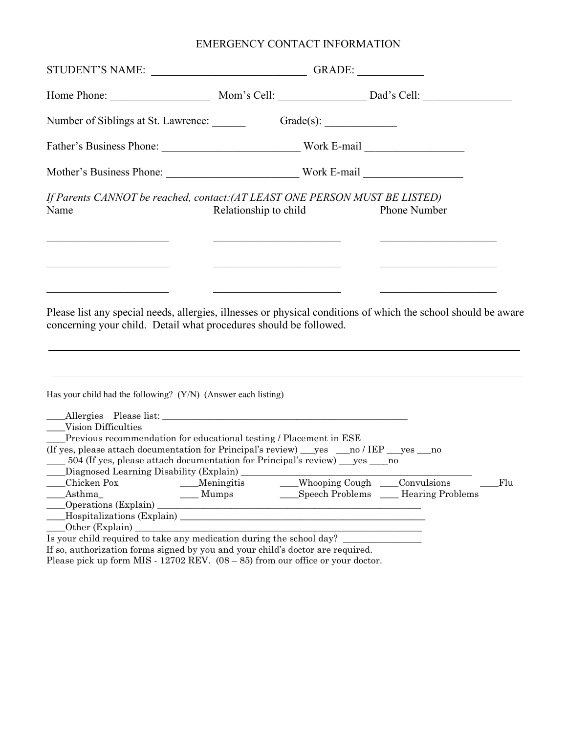# EMERGENCY CONTACT INFORMATION

| Number of Siblings at St. Lawrence: Grade(s): Grade(s):                                                                                                                             |                                                                                                                                                                                                                                      |                                                               |                                                                        |     |
|-------------------------------------------------------------------------------------------------------------------------------------------------------------------------------------|--------------------------------------------------------------------------------------------------------------------------------------------------------------------------------------------------------------------------------------|---------------------------------------------------------------|------------------------------------------------------------------------|-----|
| Father's Business Phone: Work E-mail                                                                                                                                                |                                                                                                                                                                                                                                      |                                                               |                                                                        |     |
|                                                                                                                                                                                     |                                                                                                                                                                                                                                      |                                                               |                                                                        |     |
| If Parents CANNOT be reached, contact: (AT LEAST ONE PERSON MUST BE LISTED)<br>Name                                                                                                 | Relationship to child                                                                                                                                                                                                                |                                                               | <b>Phone Number</b>                                                    |     |
|                                                                                                                                                                                     | <u> 1980 - Johann John Stein, market fan it fjort fan de ferstjer fan de ferstjer fan de ferstjer fan de ferstjer</u>                                                                                                                | <u> 1989 - Johann John Stein, mars an Francisco Barbara (</u> | <u> 1989 - Johann Stoff, deutscher Amerikaanse kommerken (</u> † 1918) |     |
|                                                                                                                                                                                     |                                                                                                                                                                                                                                      |                                                               |                                                                        |     |
|                                                                                                                                                                                     | <u> 1990 - Johann John Stoff, deutscher Stoffen und der Stoffen und der Stoffen und der Stoffen und der Stoffen und der Stoffen und der Stoffen und der Stoffen und der Stoffen und der Stoffen und der Stoffen und der Stoffen </u> |                                                               | <u> 1989 - Johann John Stein, market fransk politiker (</u>            |     |
| Please list any special needs, allergies, illnesses or physical conditions of which the school should be aware<br>concerning your child. Detail what procedures should be followed. |                                                                                                                                                                                                                                      |                                                               |                                                                        |     |
|                                                                                                                                                                                     |                                                                                                                                                                                                                                      |                                                               |                                                                        |     |
|                                                                                                                                                                                     | ,我们也不会有什么。""我们的人,我们也不会有什么?""我们的人,我们也不会有什么?""我们的人,我们也不会有什么?""我们的人,我们也不会有什么?""我们的人                                                                                                                                                     |                                                               |                                                                        |     |
|                                                                                                                                                                                     |                                                                                                                                                                                                                                      |                                                               |                                                                        |     |
| Has your child had the following? (Y/N) (Answer each listing)<br>Vision Difficulties                                                                                                |                                                                                                                                                                                                                                      |                                                               |                                                                        |     |
| Previous recommendation for educational testing / Placement in ESE                                                                                                                  |                                                                                                                                                                                                                                      |                                                               |                                                                        |     |
| (If yes, please attach documentation for Principal's review) ___ yes ___ no / IEP ___ yes ___ no                                                                                    |                                                                                                                                                                                                                                      |                                                               |                                                                        |     |
| 504 (If yes, please attach documentation for Principal's review) ___ yes _____ no                                                                                                   |                                                                                                                                                                                                                                      |                                                               |                                                                        |     |
| Diagnosed Learning Disability (Explain)<br>The Communication of the Communications<br>Chicken Pox                                                                                   | _Meningitis                                                                                                                                                                                                                          | Whooping Cough ____Convulsions                                |                                                                        | Flu |
| _Asthma_                                                                                                                                                                            | $\underline{\hspace{1cm}}$ Mumps                                                                                                                                                                                                     |                                                               | Speech Problems ___ Hearing Problems                                   |     |
| $\qquad$ Operations (Explain)                                                                                                                                                       | <u> 1989 - Jan Samuel Barbara, margaret eta idazlea (h. 1989).</u>                                                                                                                                                                   |                                                               |                                                                        |     |
| Hospitalizations (Explain)                                                                                                                                                          |                                                                                                                                                                                                                                      |                                                               |                                                                        |     |
| Is your child required to take any medication during the school day?                                                                                                                |                                                                                                                                                                                                                                      |                                                               |                                                                        |     |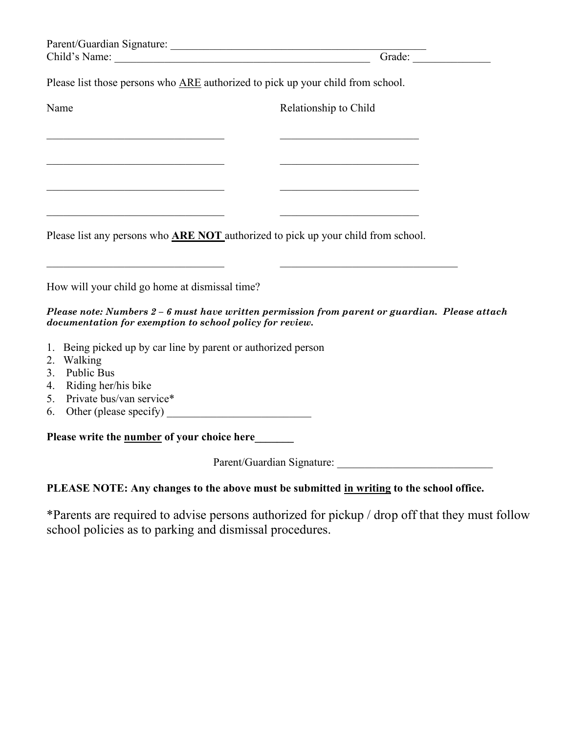|                                                                                                                                                                                                                   | Grade:                                                                                         |
|-------------------------------------------------------------------------------------------------------------------------------------------------------------------------------------------------------------------|------------------------------------------------------------------------------------------------|
| Please list those persons who ARE authorized to pick up your child from school.                                                                                                                                   |                                                                                                |
| Name                                                                                                                                                                                                              | Relationship to Child                                                                          |
|                                                                                                                                                                                                                   | the control of the control of the control of the control of the control of                     |
| <u> 1989 - Johann Barbara, martxa alemaniar arg</u>                                                                                                                                                               |                                                                                                |
| <u> 1989 - Johann John Stoff, deutscher Stoffen und der Stoffen und der Stoffen und der Stoffen und der Stoffen u</u><br>Please list any persons who <b>ARE NOT</b> authorized to pick up your child from school. | <u> 1990 - Johann Barbara, martxa alemaniar a</u>                                              |
| How will your child go home at dismissal time?                                                                                                                                                                    |                                                                                                |
| documentation for exemption to school policy for review.                                                                                                                                                          | Please note: Numbers 2 - 6 must have written permission from parent or guardian. Please attach |
| 1. Being picked up by car line by parent or authorized person                                                                                                                                                     |                                                                                                |
| 2. Walking                                                                                                                                                                                                        |                                                                                                |
| Public Bus<br>3.                                                                                                                                                                                                  |                                                                                                |
| Riding her/his bike<br>4.                                                                                                                                                                                         |                                                                                                |
| Private bus/van service*<br>5.                                                                                                                                                                                    |                                                                                                |
| Other (please specify)<br>6.                                                                                                                                                                                      |                                                                                                |
| Please write the <b>number</b> of your choice here                                                                                                                                                                |                                                                                                |
|                                                                                                                                                                                                                   |                                                                                                |
| PLEASE NOTE: Any changes to the above must be submitted in writing to the school office.                                                                                                                          |                                                                                                |

\*Parents are required to advise persons authorized for pickup / drop off that they must follow school policies as to parking and dismissal procedures.